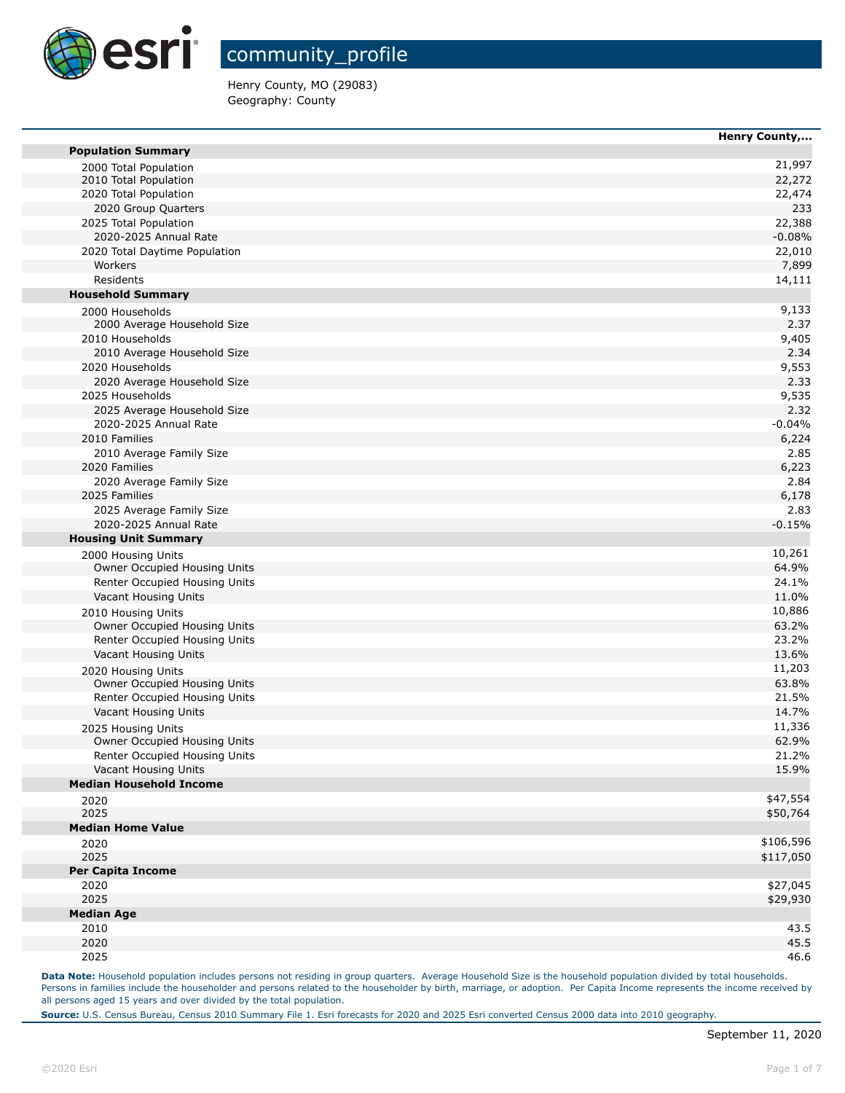

Henry County, MO (29083) Geography: County

|                                                               | Henry County, |
|---------------------------------------------------------------|---------------|
| <b>Population Summary</b>                                     |               |
| 2000 Total Population                                         | 21,997        |
| 2010 Total Population                                         | 22,272        |
| 2020 Total Population                                         | 22,474        |
| 2020 Group Quarters                                           | 233           |
| 2025 Total Population                                         | 22,388        |
| 2020-2025 Annual Rate                                         | $-0.08%$      |
| 2020 Total Daytime Population                                 | 22,010        |
| Workers                                                       | 7,899         |
| Residents                                                     | 14,111        |
| <b>Household Summary</b>                                      |               |
| 2000 Households                                               | 9,133         |
| 2000 Average Household Size                                   | 2.37          |
| 2010 Households                                               | 9,405         |
| 2010 Average Household Size                                   | 2.34          |
| 2020 Households                                               | 9,553         |
| 2020 Average Household Size                                   | 2.33          |
| 2025 Households                                               | 9,535         |
| 2025 Average Household Size                                   | 2.32          |
| 2020-2025 Annual Rate                                         | $-0.04%$      |
| 2010 Families                                                 | 6,224         |
| 2010 Average Family Size                                      | 2.85          |
| 2020 Families                                                 | 6,223         |
| 2020 Average Family Size                                      | 2.84          |
| 2025 Families                                                 | 6,178         |
| 2025 Average Family Size                                      | 2.83          |
| 2020-2025 Annual Rate                                         | $-0.15%$      |
| <b>Housing Unit Summary</b>                                   |               |
| 2000 Housing Units                                            | 10,261        |
| Owner Occupied Housing Units                                  | 64.9%         |
| Renter Occupied Housing Units                                 | 24.1%         |
| Vacant Housing Units                                          | 11.0%         |
|                                                               | 10,886        |
| 2010 Housing Units<br>Owner Occupied Housing Units            | 63.2%         |
| Renter Occupied Housing Units                                 | 23.2%         |
| Vacant Housing Units                                          | 13.6%         |
|                                                               | 11,203        |
| 2020 Housing Units                                            | 63.8%         |
| Owner Occupied Housing Units<br>Renter Occupied Housing Units |               |
|                                                               | 21.5%         |
| Vacant Housing Units                                          | 14.7%         |
| 2025 Housing Units                                            | 11,336        |
| Owner Occupied Housing Units                                  | 62.9%         |
| Renter Occupied Housing Units                                 | 21.2%         |
| Vacant Housing Units                                          | 15.9%         |
| <b>Median Household Income</b>                                |               |
| 2020                                                          | \$47,554      |
| 2025                                                          | \$50,764      |
| <b>Median Home Value</b>                                      |               |
| 2020                                                          | \$106,596     |
| 2025                                                          | \$117,050     |
| <b>Per Capita Income</b>                                      |               |
| 2020                                                          | \$27,045      |
| 2025                                                          | \$29,930      |
| <b>Median Age</b>                                             |               |
| 2010                                                          | 43.5          |
| 2020                                                          | 45.5          |
| 2025                                                          | 46.6          |
|                                                               |               |

Data Note: Household population includes persons not residing in group quarters. Average Household Size is the household population divided by total households. Persons in families include the householder and persons related to the householder by birth, marriage, or adoption. Per Capita Income represents the income received by all persons aged 15 years and over divided by the total population.

**Source:** U.S. Census Bureau, Census 2010 Summary File 1. Esri forecasts for 2020 and 2025 Esri converted Census 2000 data into 2010 geography.

m

m

m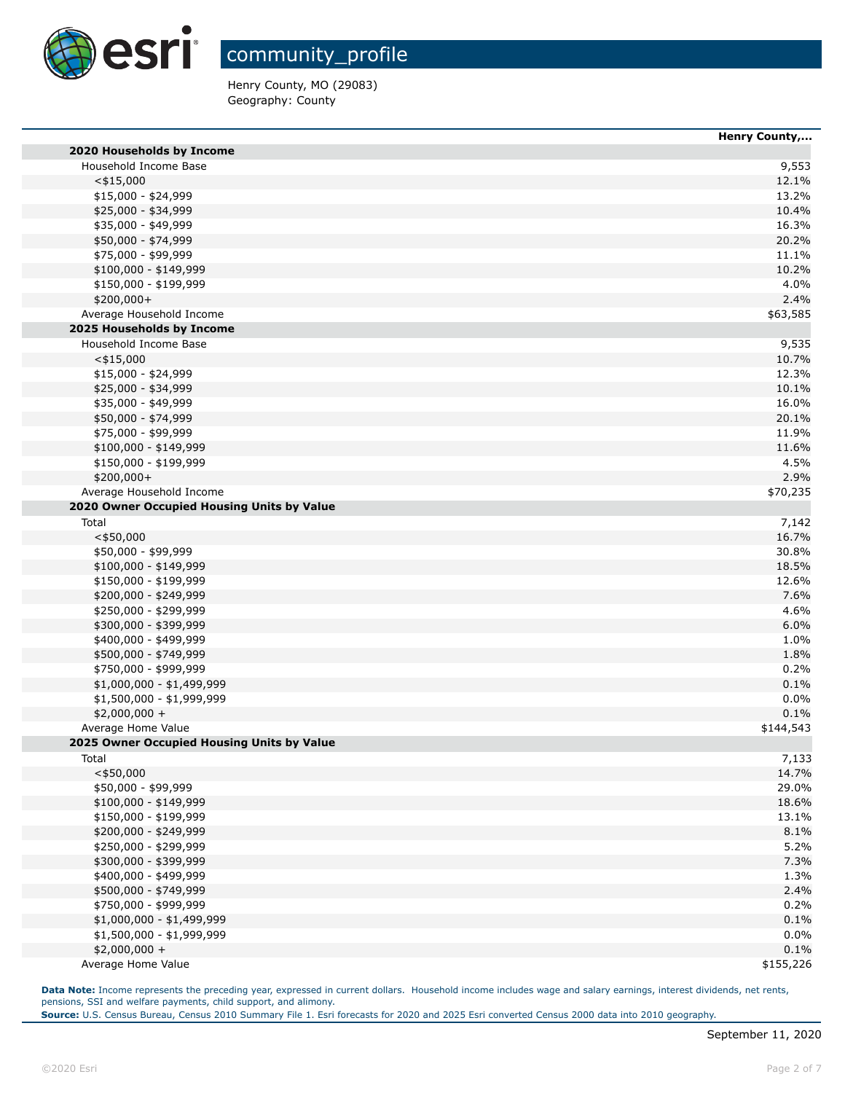

Henry County, MO (29083) Geography: County

|                                            | Henry County, |
|--------------------------------------------|---------------|
| 2020 Households by Income                  |               |
| Household Income Base                      | 9,553         |
| $<$ \$15,000                               | 12.1%         |
| \$15,000 - \$24,999                        | 13.2%         |
| \$25,000 - \$34,999                        | 10.4%         |
| \$35,000 - \$49,999                        | 16.3%         |
| \$50,000 - \$74,999                        | 20.2%         |
| \$75,000 - \$99,999                        | 11.1%         |
| $$100,000 - $149,999$                      | 10.2%         |
| \$150,000 - \$199,999                      | 4.0%          |
| \$200,000+                                 | 2.4%          |
| Average Household Income                   | \$63,585      |
| 2025 Households by Income                  |               |
| Household Income Base                      |               |
|                                            | 9,535         |
| $<$ \$15,000                               | 10.7%         |
| \$15,000 - \$24,999                        | 12.3%         |
| \$25,000 - \$34,999                        | 10.1%         |
| \$35,000 - \$49,999                        | 16.0%         |
| \$50,000 - \$74,999                        | 20.1%         |
| \$75,000 - \$99,999                        | 11.9%         |
| $$100,000 - $149,999$                      | 11.6%         |
| \$150,000 - \$199,999                      | 4.5%          |
| \$200,000+                                 | 2.9%          |
| Average Household Income                   | \$70,235      |
| 2020 Owner Occupied Housing Units by Value |               |
| Total                                      | 7,142         |
| $<$ \$50,000                               | 16.7%         |
| \$50,000 - \$99,999                        | 30.8%         |
| \$100,000 - \$149,999                      | 18.5%         |
| \$150,000 - \$199,999                      | 12.6%         |
| \$200,000 - \$249,999                      | 7.6%          |
| \$250,000 - \$299,999                      | 4.6%          |
| \$300,000 - \$399,999                      | 6.0%          |
| \$400,000 - \$499,999                      | 1.0%          |
|                                            | 1.8%          |
| \$500,000 - \$749,999                      |               |
| \$750,000 - \$999,999                      | 0.2%          |
| $$1,000,000 - $1,499,999$                  | 0.1%          |
| \$1,500,000 - \$1,999,999                  | 0.0%          |
| $$2,000,000 +$                             | 0.1%          |
| Average Home Value                         | \$144,543     |
| 2025 Owner Occupied Housing Units by Value |               |
| Total                                      | 7,133         |
| $<$ \$50,000                               | 14.7%         |
| \$50,000 - \$99,999                        | 29.0%         |
| \$100,000 - \$149,999                      | 18.6%         |
| \$150,000 - \$199,999                      | 13.1%         |
| \$200,000 - \$249,999                      | 8.1%          |
| \$250,000 - \$299,999                      | 5.2%          |
| \$300,000 - \$399,999                      | 7.3%          |
| \$400,000 - \$499,999                      | 1.3%          |
| \$500,000 - \$749,999                      | 2.4%          |
| \$750,000 - \$999,999                      | 0.2%          |
| \$1,000,000 - \$1,499,999                  | 0.1%          |
|                                            |               |
| \$1,500,000 - \$1,999,999                  | 0.0%          |
| $$2,000,000 +$                             | 0.1%          |
| Average Home Value                         | \$155,226     |

Data Note: Income represents the preceding year, expressed in current dollars. Household income includes wage and salary earnings, interest dividends, net rents, pensions, SSI and welfare payments, child support, and alimony.

**Source:** U.S. Census Bureau, Census 2010 Summary File 1. Esri forecasts for 2020 and 2025 Esri converted Census 2000 data into 2010 geography.

F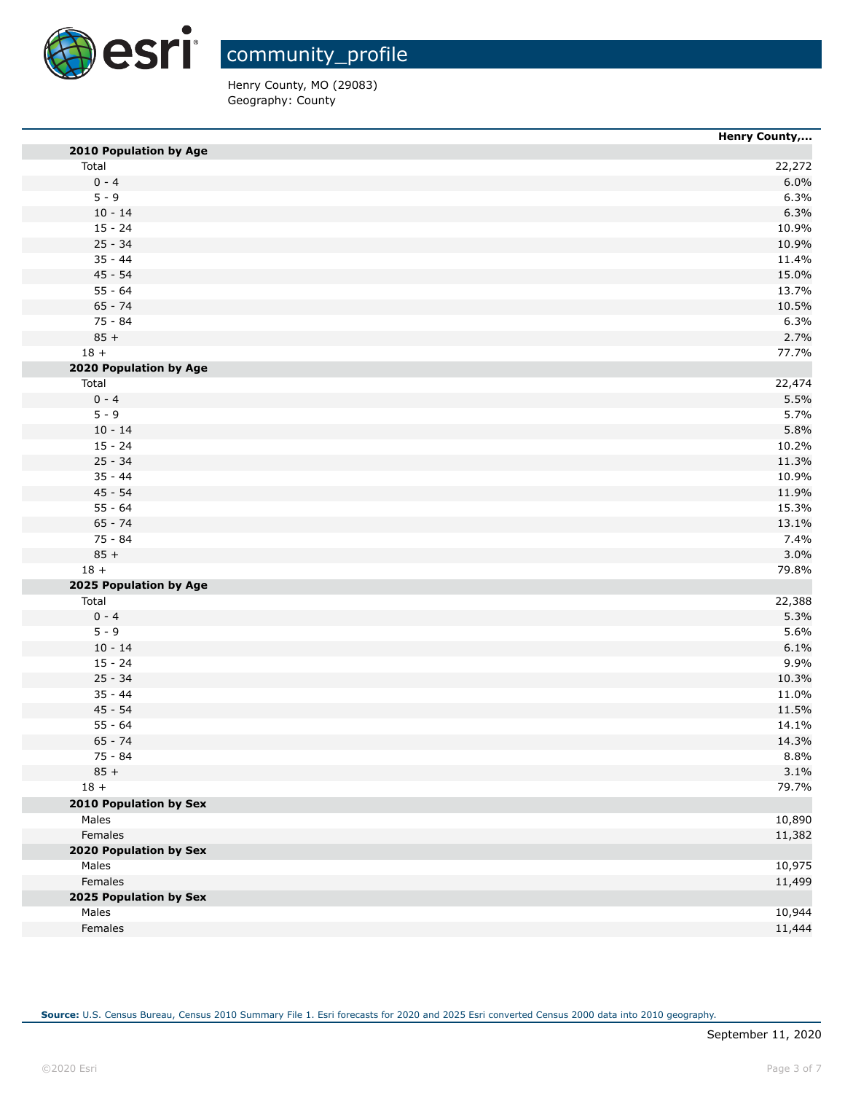

Henry County, MO (29083) Geography: County

|                        | <b>Henry County,</b> |
|------------------------|----------------------|
| 2010 Population by Age |                      |
| Total                  | 22,272               |
| $0 - 4$                | 6.0%                 |
| $5 - 9$                | 6.3%                 |
| $10 - 14$              | 6.3%                 |
| $15 - 24$              | 10.9%                |
| $25 - 34$              | 10.9%                |
| $35 - 44$              | 11.4%                |
| $45 - 54$              | 15.0%                |
| $55 - 64$              | 13.7%                |
| $65 - 74$              | 10.5%                |
| 75 - 84                | 6.3%                 |
| $85 +$                 | 2.7%                 |
| $18 +$                 | 77.7%                |
| 2020 Population by Age |                      |
| Total                  | 22,474               |
| $0 - 4$                | 5.5%                 |
| $5 - 9$                | 5.7%                 |
| $10 - 14$              | 5.8%                 |
| $15 - 24$              | 10.2%                |
| $25 - 34$              | 11.3%                |
| $35 - 44$              | 10.9%                |
| $45 - 54$              | 11.9%                |
| $55 - 64$              | 15.3%                |
| $65 - 74$              | 13.1%                |
| 75 - 84                | 7.4%                 |
| $85 +$                 | 3.0%                 |
| $18 +$                 | 79.8%                |
| 2025 Population by Age |                      |
| Total                  | 22,388               |
| $0 - 4$                | 5.3%                 |
| $5 - 9$                | 5.6%                 |
| $10 - 14$              | 6.1%                 |
| $15 - 24$              | 9.9%                 |
| $25 - 34$              | 10.3%                |
| $35 - 44$              | 11.0%                |
| $45 - 54$              | 11.5%                |
| $55 - 64$              | 14.1%                |
| $65 - 74$              | 14.3%                |
| 75 - 84                | 8.8%                 |
| $85 +$                 | 3.1%                 |
| $18 +$                 | 79.7%                |
| 2010 Population by Sex |                      |
| Males                  | 10,890               |
| Females                | 11,382               |
| 2020 Population by Sex |                      |
| Males                  | 10,975               |
| Females                |                      |
|                        | 11,499               |
| 2025 Population by Sex |                      |
| Males                  | 10,944               |
| Females                | 11,444               |

**Source:** U.S. Census Bureau, Census 2010 Summary File 1. Esri forecasts for 2020 and 2025 Esri converted Census 2000 data into 2010 geography.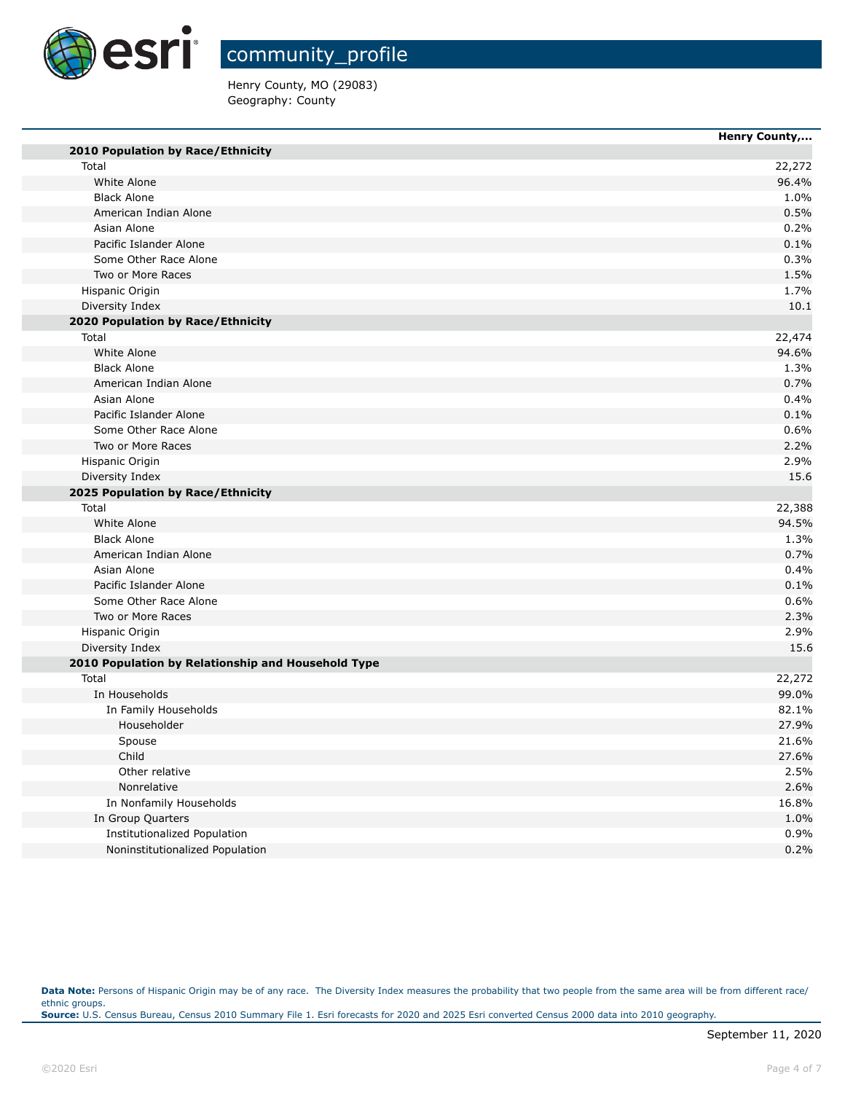

community\_profile

Henry County, MO (29083) Geography: County

|                                                    | Henry County, |
|----------------------------------------------------|---------------|
| 2010 Population by Race/Ethnicity                  |               |
| Total                                              | 22,272        |
| White Alone                                        | 96.4%         |
| <b>Black Alone</b>                                 | 1.0%          |
| American Indian Alone                              | 0.5%          |
| Asian Alone                                        | 0.2%          |
| Pacific Islander Alone                             | 0.1%          |
| Some Other Race Alone                              | 0.3%          |
| Two or More Races                                  | 1.5%          |
| Hispanic Origin                                    | 1.7%          |
| Diversity Index                                    | 10.1          |
| 2020 Population by Race/Ethnicity                  |               |
| Total                                              | 22,474        |
| White Alone                                        | 94.6%         |
| <b>Black Alone</b>                                 | 1.3%          |
| American Indian Alone                              | 0.7%          |
| Asian Alone                                        | 0.4%          |
| Pacific Islander Alone                             | 0.1%          |
| Some Other Race Alone                              | 0.6%          |
| Two or More Races                                  | 2.2%          |
| Hispanic Origin                                    | 2.9%          |
| Diversity Index                                    | 15.6          |
| 2025 Population by Race/Ethnicity                  |               |
| Total                                              | 22,388        |
| White Alone                                        | 94.5%         |
| <b>Black Alone</b>                                 | 1.3%          |
| American Indian Alone                              | 0.7%          |
| Asian Alone                                        | 0.4%          |
| Pacific Islander Alone                             | 0.1%          |
| Some Other Race Alone                              | 0.6%          |
| Two or More Races                                  | 2.3%          |
| Hispanic Origin                                    | 2.9%          |
| Diversity Index                                    | 15.6          |
| 2010 Population by Relationship and Household Type |               |
| Total                                              | 22,272        |
| In Households                                      | 99.0%         |
| In Family Households                               | 82.1%         |
| Householder                                        | 27.9%         |
| Spouse                                             | 21.6%         |
| Child                                              | 27.6%         |
| Other relative                                     | 2.5%          |
| Nonrelative                                        | 2.6%          |
| In Nonfamily Households                            | 16.8%         |
| In Group Quarters                                  | 1.0%          |
| Institutionalized Population                       | 0.9%          |
| Noninstitutionalized Population                    | 0.2%          |

Data Note: Persons of Hispanic Origin may be of any race. The Diversity Index measures the probability that two people from the same area will be from different race/ ethnic groups. **Source:** U.S. Census Bureau, Census 2010 Summary File 1. Esri forecasts for 2020 and 2025 Esri converted Census 2000 data into 2010 geography.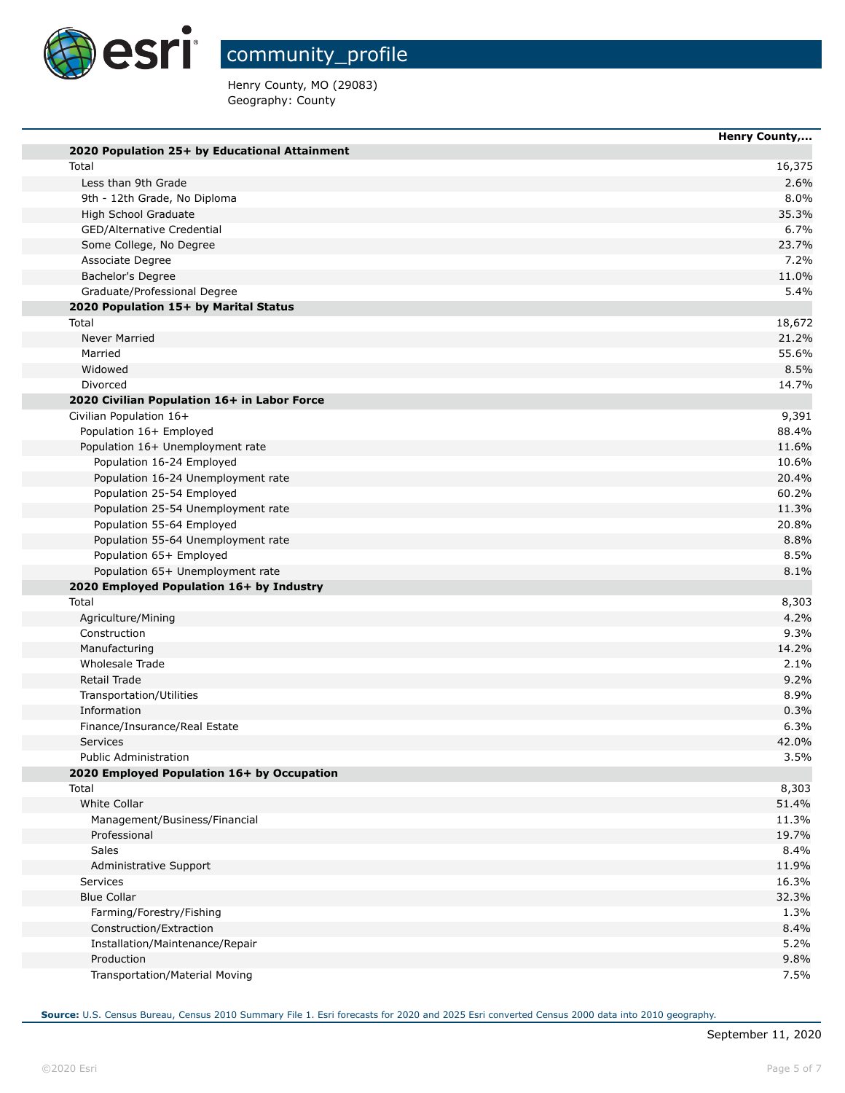

Henry County, MO (29083) Geography: County

|                                               | Henry County, |
|-----------------------------------------------|---------------|
| 2020 Population 25+ by Educational Attainment |               |
| Total                                         | 16,375        |
| Less than 9th Grade                           | 2.6%          |
| 9th - 12th Grade, No Diploma                  | 8.0%          |
| High School Graduate                          | 35.3%         |
| GED/Alternative Credential                    | 6.7%          |
| Some College, No Degree                       | 23.7%         |
| Associate Degree                              | 7.2%          |
| Bachelor's Degree                             | 11.0%         |
| Graduate/Professional Degree                  | 5.4%          |
| 2020 Population 15+ by Marital Status         |               |
| Total                                         | 18,672        |
| Never Married                                 | 21.2%         |
| Married                                       | 55.6%         |
| Widowed                                       | 8.5%          |
| Divorced                                      | 14.7%         |
| 2020 Civilian Population 16+ in Labor Force   |               |
| Civilian Population 16+                       | 9,391         |
| Population 16+ Employed                       | 88.4%         |
| Population 16+ Unemployment rate              | 11.6%         |
| Population 16-24 Employed                     | 10.6%         |
| Population 16-24 Unemployment rate            | 20.4%         |
| Population 25-54 Employed                     | 60.2%         |
| Population 25-54 Unemployment rate            | 11.3%         |
| Population 55-64 Employed                     | 20.8%         |
| Population 55-64 Unemployment rate            | 8.8%          |
| Population 65+ Employed                       | 8.5%          |
| Population 65+ Unemployment rate              | 8.1%          |
| 2020 Employed Population 16+ by Industry      |               |
| Total                                         | 8,303         |
| Agriculture/Mining                            | 4.2%          |
| Construction                                  | 9.3%          |
| Manufacturing                                 | 14.2%         |
| Wholesale Trade                               | 2.1%          |
| Retail Trade                                  | 9.2%          |
| Transportation/Utilities                      | 8.9%          |
| Information                                   | 0.3%          |
| Finance/Insurance/Real Estate                 | 6.3%          |
| <b>Services</b>                               | 42.0%         |
| <b>Public Administration</b>                  | 3.5%          |
| 2020 Employed Population 16+ by Occupation    |               |
| Total                                         | 8,303         |
| White Collar                                  | 51.4%         |
| Management/Business/Financial                 | 11.3%         |
| Professional                                  | 19.7%         |
| <b>Sales</b>                                  | 8.4%          |
| Administrative Support                        | 11.9%         |
| <b>Services</b>                               | 16.3%         |
| <b>Blue Collar</b>                            | 32.3%         |
| Farming/Forestry/Fishing                      | 1.3%          |
| Construction/Extraction                       | 8.4%          |
| Installation/Maintenance/Repair               | 5.2%          |
| Production                                    | 9.8%          |
| Transportation/Material Moving                | 7.5%          |

**Source:** U.S. Census Bureau, Census 2010 Summary File 1. Esri forecasts for 2020 and 2025 Esri converted Census 2000 data into 2010 geography.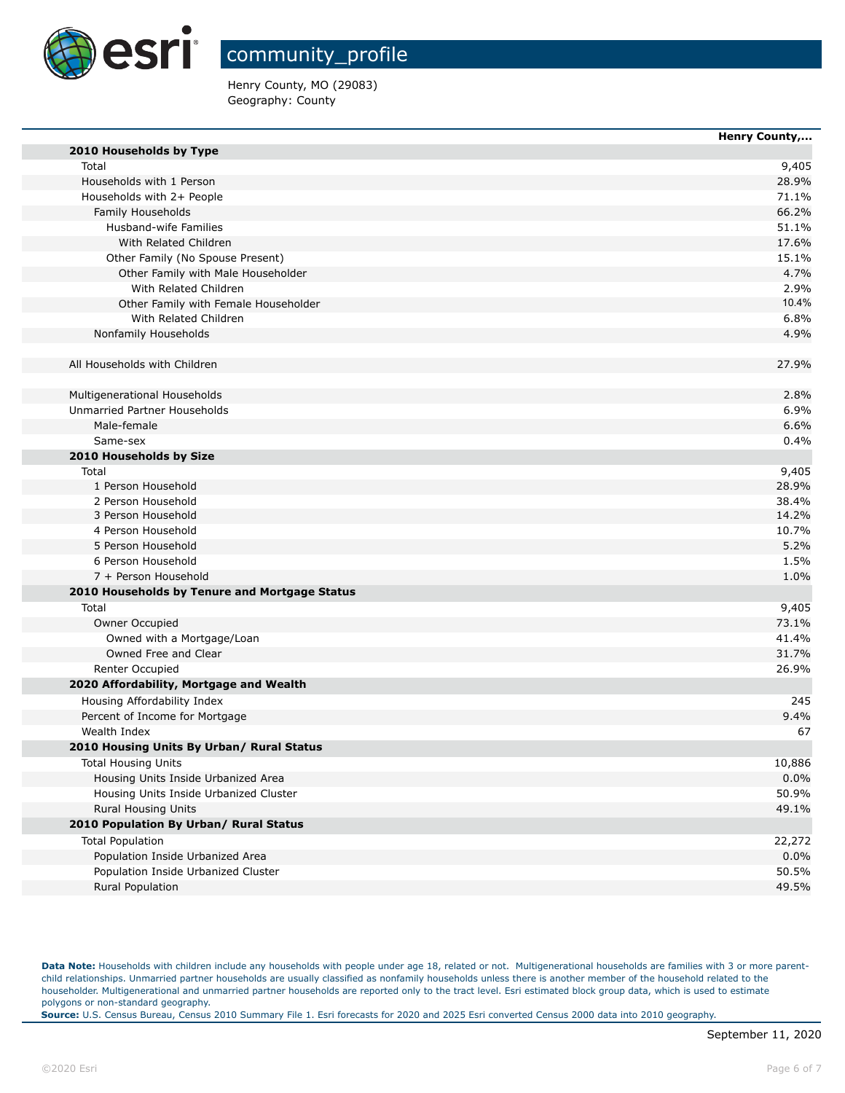

Henry County, MO (29083) Geography: County

|                                               | Henry County, |
|-----------------------------------------------|---------------|
| 2010 Households by Type                       |               |
| Total                                         | 9,405         |
| Households with 1 Person                      | 28.9%         |
| Households with 2+ People                     | 71.1%         |
| Family Households                             | 66.2%         |
| Husband-wife Families                         | 51.1%         |
| With Related Children                         | 17.6%         |
| Other Family (No Spouse Present)              | 15.1%         |
| Other Family with Male Householder            | 4.7%          |
| With Related Children                         | 2.9%          |
| Other Family with Female Householder          | 10.4%         |
| With Related Children                         | 6.8%          |
| Nonfamily Households                          | 4.9%          |
| All Households with Children                  | 27.9%         |
| Multigenerational Households                  | 2.8%          |
| Unmarried Partner Households                  | 6.9%          |
| Male-female                                   | 6.6%          |
| Same-sex                                      | 0.4%          |
| 2010 Households by Size                       |               |
| Total                                         | 9,405         |
| 1 Person Household                            | 28.9%         |
| 2 Person Household                            | 38.4%         |
| 3 Person Household                            | 14.2%         |
| 4 Person Household                            | 10.7%         |
| 5 Person Household                            | 5.2%          |
| 6 Person Household                            | 1.5%          |
| 7 + Person Household                          | 1.0%          |
| 2010 Households by Tenure and Mortgage Status |               |
| Total                                         | 9,405         |
| Owner Occupied                                | 73.1%         |
| Owned with a Mortgage/Loan                    | 41.4%         |
| Owned Free and Clear                          | 31.7%         |
| Renter Occupied                               | 26.9%         |
| 2020 Affordability, Mortgage and Wealth       |               |
| Housing Affordability Index                   | 245           |
| Percent of Income for Mortgage                | 9.4%          |
| Wealth Index                                  | 67            |
| 2010 Housing Units By Urban/ Rural Status     |               |
| <b>Total Housing Units</b>                    | 10,886        |
| Housing Units Inside Urbanized Area           | 0.0%          |
| Housing Units Inside Urbanized Cluster        | 50.9%         |
| Rural Housing Units                           | 49.1%         |
| 2010 Population By Urban/ Rural Status        |               |
| <b>Total Population</b>                       | 22,272        |
| Population Inside Urbanized Area              | 0.0%          |
| Population Inside Urbanized Cluster           | 50.5%         |
| Rural Population                              | 49.5%         |

Data Note: Households with children include any households with people under age 18, related or not. Multigenerational households are families with 3 or more parentchild relationships. Unmarried partner households are usually classified as nonfamily households unless there is another member of the household related to the householder. Multigenerational and unmarried partner households are reported only to the tract level. Esri estimated block group data, which is used to estimate polygons or non-standard geography.

**Source:** U.S. Census Bureau, Census 2010 Summary File 1. Esri forecasts for 2020 and 2025 Esri converted Census 2000 data into 2010 geography.